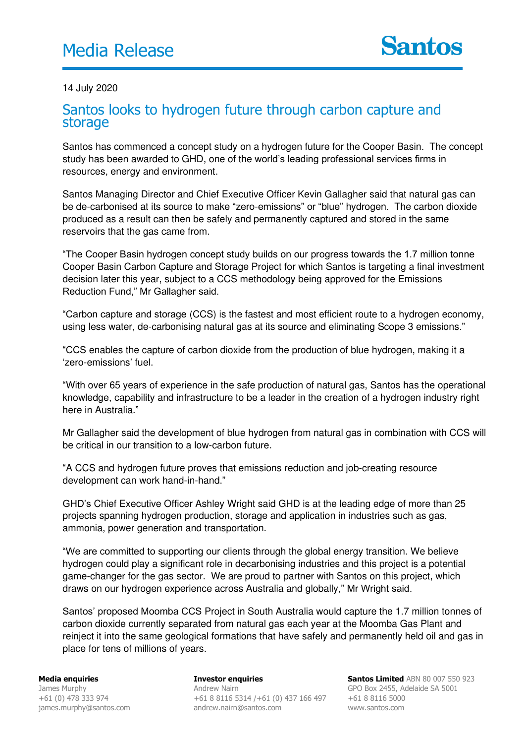## 14 July 2020

## Santos looks to hydrogen future through carbon capture and storage

Santos has commenced a concept study on a hydrogen future for the Cooper Basin. The concept study has been awarded to GHD, one of the world's leading professional services firms in resources, energy and environment.

Santos Managing Director and Chief Executive Officer Kevin Gallagher said that natural gas can be de-carbonised at its source to make "zero-emissions" or "blue" hydrogen. The carbon dioxide produced as a result can then be safely and permanently captured and stored in the same reservoirs that the gas came from.

"The Cooper Basin hydrogen concept study builds on our progress towards the 1.7 million tonne Cooper Basin Carbon Capture and Storage Project for which Santos is targeting a final investment decision later this year, subject to a CCS methodology being approved for the Emissions Reduction Fund," Mr Gallagher said.

"Carbon capture and storage (CCS) is the fastest and most efficient route to a hydrogen economy, using less water, de-carbonising natural gas at its source and eliminating Scope 3 emissions."

"CCS enables the capture of carbon dioxide from the production of blue hydrogen, making it a 'zero-emissions' fuel.

"With over 65 years of experience in the safe production of natural gas, Santos has the operational knowledge, capability and infrastructure to be a leader in the creation of a hydrogen industry right here in Australia."

Mr Gallagher said the development of blue hydrogen from natural gas in combination with CCS will be critical in our transition to a low-carbon future.

"A CCS and hydrogen future proves that emissions reduction and job-creating resource development can work hand-in-hand."

GHD's Chief Executive Officer Ashley Wright said GHD is at the leading edge of more than 25 projects spanning hydrogen production, storage and application in industries such as gas, ammonia, power generation and transportation.

"We are committed to supporting our clients through the global energy transition. We believe hydrogen could play a significant role in decarbonising industries and this project is a potential game-changer for the gas sector. We are proud to partner with Santos on this project, which draws on our hydrogen experience across Australia and globally," Mr Wright said.

Santos' proposed Moomba CCS Project in South Australia would capture the 1.7 million tonnes of carbon dioxide currently separated from natural gas each year at the Moomba Gas Plant and reinject it into the same geological formations that have safely and permanently held oil and gas in place for tens of millions of years.

**Media enquiries**  James Murphy +61 (0) 478 333 974 james.murphy@santos.com

**Investor enquiries**  Andrew Nairn +61 8 8116 5314 /+61 (0) 437 166 497 andrew.nairn@santos.com

**Santos Limited** ABN 80 007 550 923 GPO Box 2455, Adelaide SA 5001 +61 8 8116 5000 www.santos.com